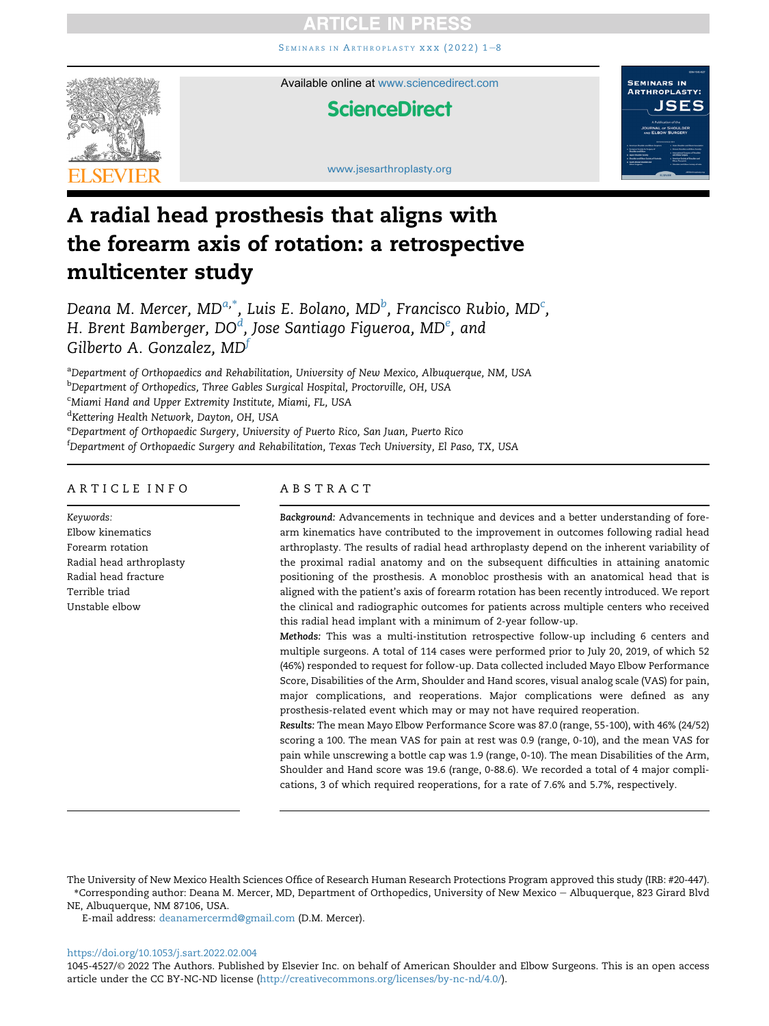SEMINARS IN ARTHROPLASTY XXX (2022) 1-[8](https://doi.org/10.1053/j.sart.2022.02.004)



Available online at [www.sciencedirect.com](www.sciencedirect.com/science/journal/10454527)

## **ScienceDirect**



<www.jsesarthroplasty.org>

# A radial head prosthesis that aligns with the forearm axis of rotation: a retrospective multicenter study

Deana M. Mer[c](#page-0-2)er, MD $^{a,*}$  $^{a,*}$  $^{a,*}$ , Luis E. Bolano, MD $^b$  $^b$ , Francisco Rubio, MD $^c$ , H. Br[e](#page-0-4)nt Bamberger, DO $^d$  $^d$ , Jose Santiago Figueroa, MD $^e$ , and Gilberto A. Gonzalez,  $MD<sup>f</sup>$  $MD<sup>f</sup>$  $MD<sup>f</sup>$ 

<span id="page-0-0"></span>aDepartment of Orthopaedics and Rehabilitation, University of New Mexico, Albuquerque, NM, USA

<span id="page-0-1"></span><sup>b</sup>Department of Orthopedics, Three Gables Surgical Hospital, Proctorville, OH, USA

<span id="page-0-2"></span><sup>c</sup>Miami Hand and Upper Extremity Institute, Miami, FL, USA

<span id="page-0-3"></span><sup>d</sup>Kettering Health Network, Dayton, OH, USA

<span id="page-0-4"></span><sup>e</sup>Department of Orthopaedic Surgery, University of Puerto Rico, San Juan, Puerto Rico

<span id="page-0-5"></span>f Department of Orthopaedic Surgery and Rehabilitation, Texas Tech University, El Paso, TX, USA

## ARTICLE INFO

Keywords: Elbow kinematics Forearm rotation Radial head arthroplasty Radial head fracture Terrible triad Unstable elbow

## ABSTRACT

Background: Advancements in technique and devices and a better understanding of forearm kinematics have contributed to the improvement in outcomes following radial head arthroplasty. The results of radial head arthroplasty depend on the inherent variability of the proximal radial anatomy and on the subsequent difficulties in attaining anatomic positioning of the prosthesis. A monobloc prosthesis with an anatomical head that is aligned with the patient's axis of forearm rotation has been recently introduced. We report the clinical and radiographic outcomes for patients across multiple centers who received this radial head implant with a minimum of 2-year follow-up.

Methods: This was a multi-institution retrospective follow-up including 6 centers and multiple surgeons. A total of 114 cases were performed prior to July 20, 2019, of which 52 (46%) responded to request for follow-up. Data collected included Mayo Elbow Performance Score, Disabilities of the Arm, Shoulder and Hand scores, visual analog scale (VAS) for pain, major complications, and reoperations. Major complications were defined as any prosthesis-related event which may or may not have required reoperation.

Results: The mean Mayo Elbow Performance Score was 87.0 (range, 55-100), with 46% (24/52) scoring a 100. The mean VAS for pain at rest was 0.9 (range, 0-10), and the mean VAS for pain while unscrewing a bottle cap was 1.9 (range, 0-10). The mean Disabilities of the Arm, Shoulder and Hand score was 19.6 (range, 0-88.6). We recorded a total of 4 major complications, 3 of which required reoperations, for a rate of 7.6% and 5.7%, respectively.

E-mail address: [deanamercermd@gmail.com](mailto:deanamercermd@gmail.com) (D.M. Mercer).

<https://doi.org/10.1053/j.sart.2022.02.004>

1045-4527/© 2022 The Authors. Published by Elsevier Inc. on behalf of American Shoulder and Elbow Surgeons. This is an open access article under the CC BY-NC-ND license (<http://creativecommons.org/licenses/by-nc-nd/4.0/>).

The University of New Mexico Health Sciences Office of Research Human Research Protections Program approved this study (IRB: #20-447). \*Corresponding author: Deana M. Mercer, MD, Department of Orthopedics, University of New Mexico e Albuquerque, 823 Girard Blvd NE, Albuquerque, NM 87106, USA.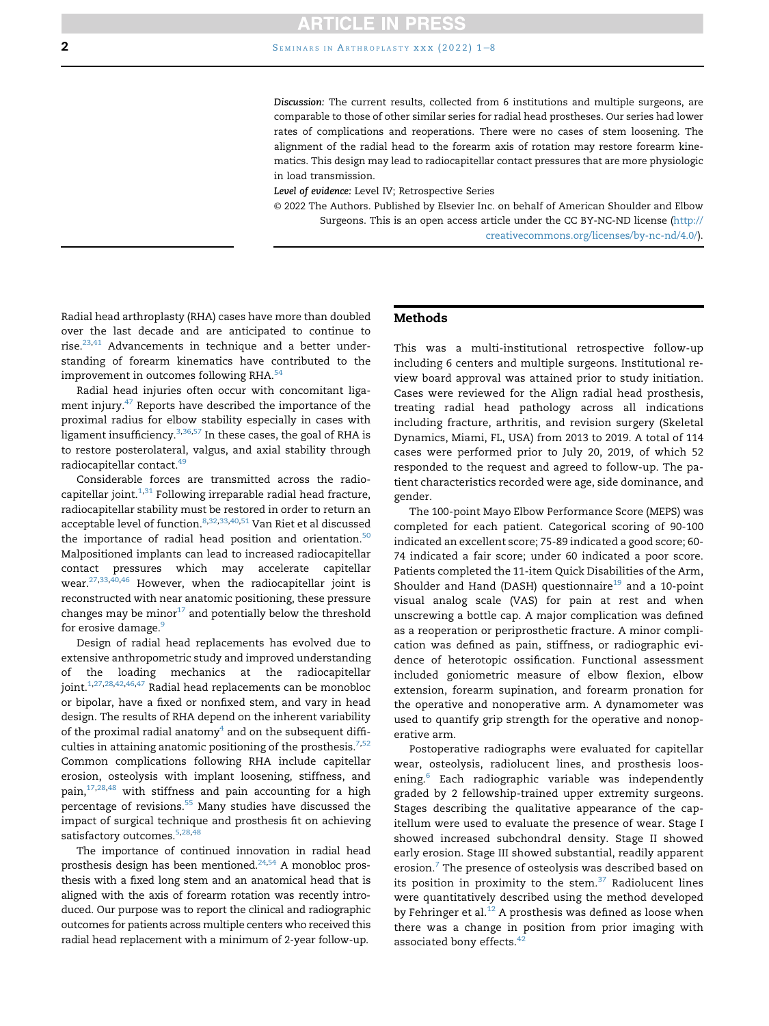Discussion: The current results, collected from 6 institutions and multiple surgeons, are comparable to those of other similar series for radial head prostheses. Our series had lower rates of complications and reoperations. There were no cases of stem loosening. The alignment of the radial head to the forearm axis of rotation may restore forearm kinematics. This design may lead to radiocapitellar contact pressures that are more physiologic in load transmission.

Level of evidence: Level IV; Retrospective Series

© 2022 The Authors. Published by Elsevier Inc. on behalf of American Shoulder and Elbow Surgeons. This is an open access article under the CC BY-NC-ND license [\(http://](http://creativecommons.org/licenses/by-nc-nd/4.0/) [creativecommons.org/licenses/by-nc-nd/4.0/\)](http://creativecommons.org/licenses/by-nc-nd/4.0/).

Radial head arthroplasty (RHA) cases have more than doubled over the last decade and are anticipated to continue to rise. $23,41$  $23,41$  $23,41$  Advancements in technique and a better understanding of forearm kinematics have contributed to the improvement in outcomes following RHA.<sup>[54](#page-7-1)</sup>

Radial head injuries often occur with concomitant ligament injury.<sup>47</sup> Reports have described the importance of the proximal radius for elbow stability especially in cases with ligament insufficiency.<sup>[3](#page-5-0)[,36](#page-6-1)[,57](#page-7-3)</sup> In these cases, the goal of RHA is to restore posterolateral, valgus, and axial stability through radiocapitellar contact.<sup>49</sup>

Considerable forces are transmitted across the radiocapitellar joint. $^{1,31}$  $^{1,31}$  $^{1,31}$  $^{1,31}$  Following irreparable radial head fracture, radiocapitellar stability must be restored in order to return an acceptable level of function.<sup>8,[32,](#page-6-4)[33](#page-6-5),[40](#page-7-5)[,51](#page-7-6)</sup> Van Riet et al discussed the importance of radial head position and orientation.<sup>[50](#page-7-7)</sup> Malpositioned implants can lead to increased radiocapitellar contact pressures which may accelerate capitellar wear.<sup>[27](#page-6-6)[,33,](#page-6-5)[40,](#page-7-5)[46](#page-7-8)</sup> However, when the radiocapitellar joint is reconstructed with near anatomic positioning, these pressure changes may be minor $17$  and potentially below the threshold for erosive damage.<sup>9</sup>

Design of radial head replacements has evolved due to extensive anthropometric study and improved understanding of the loading mechanics at the radiocapitellar joint.<sup>[1,](#page-5-1)[27](#page-6-6),[28](#page-6-9)[,42,](#page-7-9)[46,](#page-7-8)[47](#page-7-2)</sup> Radial head replacements can be monobloc or bipolar, have a fixed or nonfixed stem, and vary in head design. The results of RHA depend on the inherent variability of the proximal radial anatomy $4$  and on the subsequent difficulties in attaining anatomic positioning of the prosthesis. $7,52$  $7,52$  $7,52$ Common complications following RHA include capitellar erosion, osteolysis with implant loosening, stiffness, and pain, $17,28,48$  $17,28,48$  $17,28,48$  with stiffness and pain accounting for a high percentage of revisions.<sup>[55](#page-7-12)</sup> Many studies have discussed the impact of surgical technique and prosthesis fit on achieving satisfactory outcomes.<sup>5[,28](#page-6-9),[48](#page-7-11)</sup>

The importance of continued innovation in radial head prosthesis design has been mentioned. $24,54$  $24,54$  A monobloc prosthesis with a fixed long stem and an anatomical head that is aligned with the axis of forearm rotation was recently introduced. Our purpose was to report the clinical and radiographic outcomes for patients across multiple centers who received this radial head replacement with a minimum of 2-year follow-up.

#### Methods

This was a multi-institutional retrospective follow-up including 6 centers and multiple surgeons. Institutional review board approval was attained prior to study initiation. Cases were reviewed for the Align radial head prosthesis, treating radial head pathology across all indications including fracture, arthritis, and revision surgery (Skeletal Dynamics, Miami, FL, USA) from 2013 to 2019. A total of 114 cases were performed prior to July 20, 2019, of which 52 responded to the request and agreed to follow-up. The patient characteristics recorded were age, side dominance, and gender.

The 100-point Mayo Elbow Performance Score (MEPS) was completed for each patient. Categorical scoring of 90-100 indicated an excellent score; 75-89 indicated a good score; 60- 74 indicated a fair score; under 60 indicated a poor score. Patients completed the 11-item Quick Disabilities of the Arm, Shoulder and Hand (DASH) questionnaire<sup>[19](#page-6-12)</sup> and a 10-point visual analog scale (VAS) for pain at rest and when unscrewing a bottle cap. A major complication was defined as a reoperation or periprosthetic fracture. A minor complication was defined as pain, stiffness, or radiographic evidence of heterotopic ossification. Functional assessment included goniometric measure of elbow flexion, elbow extension, forearm supination, and forearm pronation for the operative and nonoperative arm. A dynamometer was used to quantify grip strength for the operative and nonoperative arm.

Postoperative radiographs were evaluated for capitellar wear, osteolysis, radiolucent lines, and prosthesis loosening.[6](#page-5-4) Each radiographic variable was independently graded by 2 fellowship-trained upper extremity surgeons. Stages describing the qualitative appearance of the capitellum were used to evaluate the presence of wear. Stage I showed increased subchondral density. Stage II showed early erosion. Stage III showed substantial, readily apparent erosion.<sup>[7](#page-6-10)</sup> The presence of osteolysis was described based on its position in proximity to the stem.<sup>[37](#page-6-13)</sup> Radiolucent lines were quantitatively described using the method developed by Fehringer et al. $^{12}$  $^{12}$  $^{12}$  A prosthesis was defined as loose when there was a change in position from prior imaging with associated bony effects.<sup>[42](#page-7-9)</sup>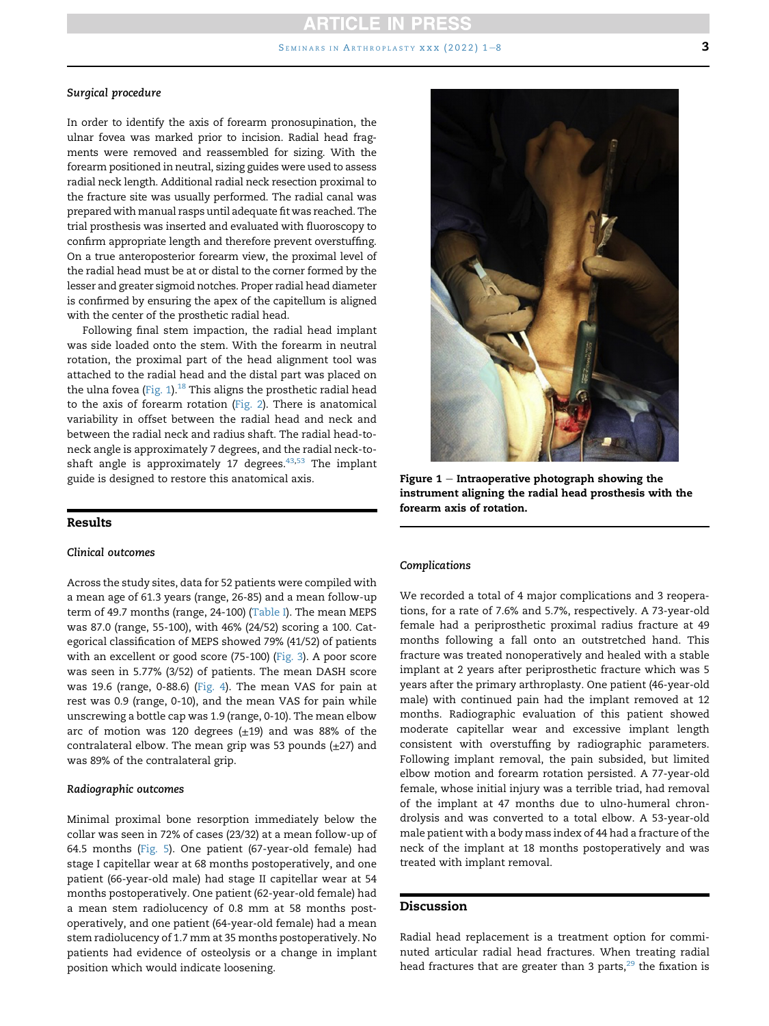### Surgical procedure

In order to identify the axis of forearm pronosupination, the ulnar fovea was marked prior to incision. Radial head fragments were removed and reassembled for sizing. With the forearm positioned in neutral, sizing guides were used to assess radial neck length. Additional radial neck resection proximal to the fracture site was usually performed. The radial canal was prepared with manual rasps until adequate fit was reached. The trial prosthesis was inserted and evaluated with fluoroscopy to confirm appropriate length and therefore prevent overstuffing. On a true anteroposterior forearm view, the proximal level of the radial head must be at or distal to the corner formed by the lesser and greater sigmoid notches. Proper radial head diameter is confirmed by ensuring the apex of the capitellum is aligned with the center of the prosthetic radial head.

Following final stem impaction, the radial head implant was side loaded onto the stem. With the forearm in neutral rotation, the proximal part of the head alignment tool was attached to the radial head and the distal part was placed on the ulna fovea (Fig.  $1$ ).<sup>18</sup> This aligns the prosthetic radial head to the axis of forearm rotation ([Fig. 2\)](#page-3-0). There is anatomical variability in offset between the radial head and neck and between the radial neck and radius shaft. The radial head-toneck angle is approximately 7 degrees, and the radial neck-toshaft angle is approximately 17 degrees. $43,53$  $43,53$  The implant guide is designed to restore this anatomical axis.

### Results

#### Clinical outcomes

Across the study sites, data for 52 patients were compiled with a mean age of 61.3 years (range, 26-85) and a mean follow-up term of 49.7 months (range, 24-100) ([Table I](#page-3-1)). The mean MEPS was 87.0 (range, 55-100), with 46% (24/52) scoring a 100. Categorical classification of MEPS showed 79% (41/52) of patients with an excellent or good score (75-100) ([Fig. 3](#page-3-2)). A poor score was seen in 5.77% (3/52) of patients. The mean DASH score was 19.6 (range, 0-88.6) ([Fig. 4](#page-4-0)). The mean VAS for pain at rest was 0.9 (range, 0-10), and the mean VAS for pain while unscrewing a bottle cap was 1.9 (range, 0-10). The mean elbow arc of motion was 120 degrees  $(\pm 19)$  and was 88% of the contralateral elbow. The mean grip was 53 pounds  $(\pm 27)$  and was 89% of the contralateral grip.

#### Radiographic outcomes

Minimal proximal bone resorption immediately below the collar was seen in 72% of cases (23/32) at a mean follow-up of 64.5 months ([Fig. 5\)](#page-4-1). One patient (67-year-old female) had stage I capitellar wear at 68 months postoperatively, and one patient (66-year-old male) had stage II capitellar wear at 54 months postoperatively. One patient (62-year-old female) had a mean stem radiolucency of 0.8 mm at 58 months postoperatively, and one patient (64-year-old female) had a mean stem radiolucency of 1.7 mm at 35 months postoperatively. No patients had evidence of osteolysis or a change in implant position which would indicate loosening.

<span id="page-2-0"></span>

Figure  $1$  – Intraoperative photograph showing the instrument aligning the radial head prosthesis with the forearm axis of rotation.

#### Complications

We recorded a total of 4 major complications and 3 reoperations, for a rate of 7.6% and 5.7%, respectively. A 73-year-old female had a periprosthetic proximal radius fracture at 49 months following a fall onto an outstretched hand. This fracture was treated nonoperatively and healed with a stable implant at 2 years after periprosthetic fracture which was 5 years after the primary arthroplasty. One patient (46-year-old male) with continued pain had the implant removed at 12 months. Radiographic evaluation of this patient showed moderate capitellar wear and excessive implant length consistent with overstuffing by radiographic parameters. Following implant removal, the pain subsided, but limited elbow motion and forearm rotation persisted. A 77-year-old female, whose initial injury was a terrible triad, had removal of the implant at 47 months due to ulno-humeral chrondrolysis and was converted to a total elbow. A 53-year-old male patient with a body mass index of 44 had a fracture of the neck of the implant at 18 months postoperatively and was treated with implant removal.

## Discussion

Radial head replacement is a treatment option for comminuted articular radial head fractures. When treating radial head fractures that are greater than 3 parts, $29$  the fixation is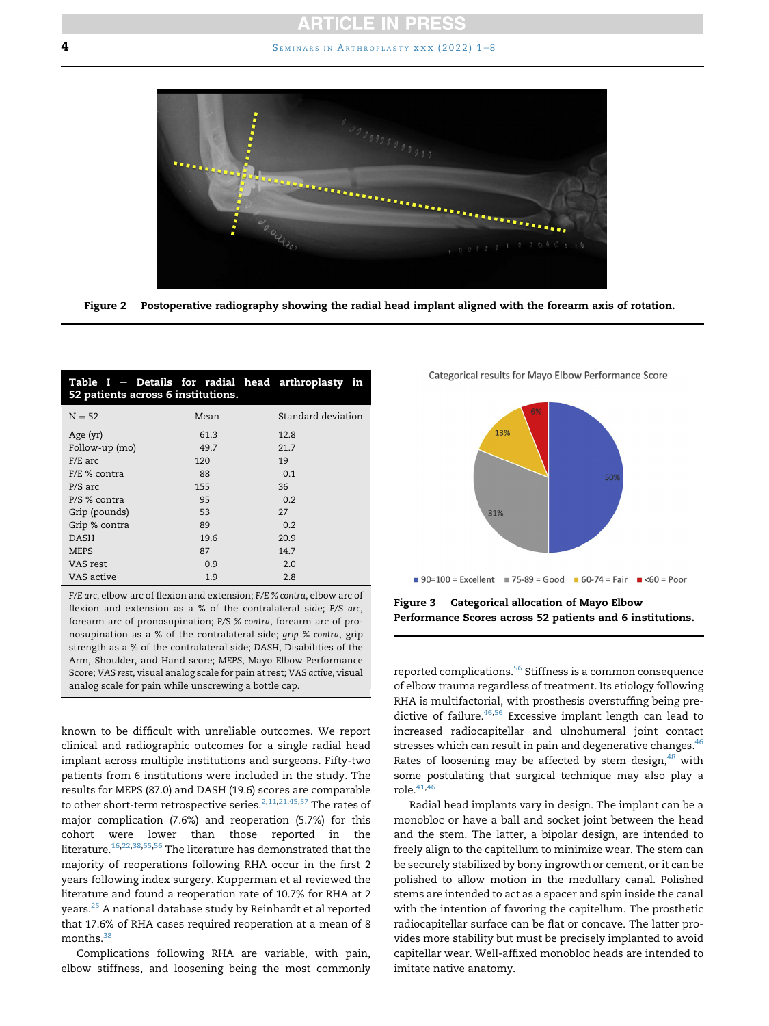<span id="page-3-0"></span>**4** SEMINARS IN ARTHROPLASTY XXX (2022)  $1-8$  $1-8$ 



Figure 2 - Postoperative radiography showing the radial head implant aligned with the forearm axis of rotation.

<span id="page-3-1"></span>

| Table $I$ – Details for radial head arthroplasty in<br>52 patients across 6 institutions. |      |                    |
|-------------------------------------------------------------------------------------------|------|--------------------|
| $N = 52$                                                                                  | Mean | Standard deviation |
| Age (yr)                                                                                  | 61.3 | 12.8               |
| Follow-up (mo)                                                                            | 49.7 | 21.7               |
| $F/E$ arc                                                                                 | 120  | 19                 |
| $F/E$ % contra                                                                            | 88   | 0.1                |
| $P/S$ arc                                                                                 | 155  | 36                 |
| P/S % contra                                                                              | 95   | 0.2                |
| Grip (pounds)                                                                             | 53   | 27                 |
| Grip % contra                                                                             | 89   | 0.2                |
| <b>DASH</b>                                                                               | 19.6 | 20.9               |
| MEPS                                                                                      | 87   | 14.7               |
| VAS rest                                                                                  | 0.9  | 2.0                |
| VAS active                                                                                | 1.9  | 2.8                |

F/E arc, elbow arc of flexion and extension; F/E % contra, elbow arc of flexion and extension as a % of the contralateral side; P/S arc, forearm arc of pronosupination; P/S % contra, forearm arc of pronosupination as a % of the contralateral side; grip % contra, grip strength as a % of the contralateral side; DASH, Disabilities of the Arm, Shoulder, and Hand score; MEPS, Mayo Elbow Performance Score; VAS rest, visual analog scale for pain at rest; VAS active, visual analog scale for pain while unscrewing a bottle cap.

known to be difficult with unreliable outcomes. We report clinical and radiographic outcomes for a single radial head implant across multiple institutions and surgeons. Fifty-two patients from 6 institutions were included in the study. The results for MEPS (87.0) and DASH (19.6) scores are comparable to other short-term retrospective series.<sup>2[,11,](#page-6-17)[21,](#page-6-18)[45](#page-7-15),[57](#page-7-3)</sup> The rates of major complication (7.6%) and reoperation (5.7%) for this cohort were lower than those reported in the literature.<sup>[16](#page-6-19)[,22](#page-6-20)[,38,](#page-6-21)[55](#page-7-12),[56](#page-7-16)</sup> The literature has demonstrated that the majority of reoperations following RHA occur in the first 2 years following index surgery. Kupperman et al reviewed the literature and found a reoperation rate of 10.7% for RHA at 2 years.<sup>25</sup> A national database study by Reinhardt et al reported that 17.6% of RHA cases required reoperation at a mean of 8  $months.<sup>3</sup>$ 

Complications following RHA are variable, with pain, elbow stiffness, and loosening being the most commonly <span id="page-3-2"></span>Categorical results for Mayo Elbow Performance Score



Figure  $3$  – Categorical allocation of Mayo Elbow Performance Scores across 52 patients and 6 institutions.

reported complications.<sup>[56](#page-7-16)</sup> Stiffness is a common consequence of elbow trauma regardless of treatment. Its etiology following RHA is multifactorial, with prosthesis overstuffing being pre-dictive of failure.<sup>[46](#page-7-8),[56](#page-7-16)</sup> Excessive implant length can lead to increased radiocapitellar and ulnohumeral joint contact stresses which can result in pain and degenerative changes. $46$ Rates of loosening may be affected by stem design, $48$  with some postulating that surgical technique may also play a  $role.<sup>41,46</sup>$  $role.<sup>41,46</sup>$  $role.<sup>41,46</sup>$  $role.<sup>41,46</sup>$  $role.<sup>41,46</sup>$ 

Radial head implants vary in design. The implant can be a monobloc or have a ball and socket joint between the head and the stem. The latter, a bipolar design, are intended to freely align to the capitellum to minimize wear. The stem can be securely stabilized by bony ingrowth or cement, or it can be polished to allow motion in the medullary canal. Polished stems are intended to act as a spacer and spin inside the canal with the intention of favoring the capitellum. The prosthetic radiocapitellar surface can be flat or concave. The latter provides more stability but must be precisely implanted to avoid capitellar wear. Well-affixed monobloc heads are intended to imitate native anatomy.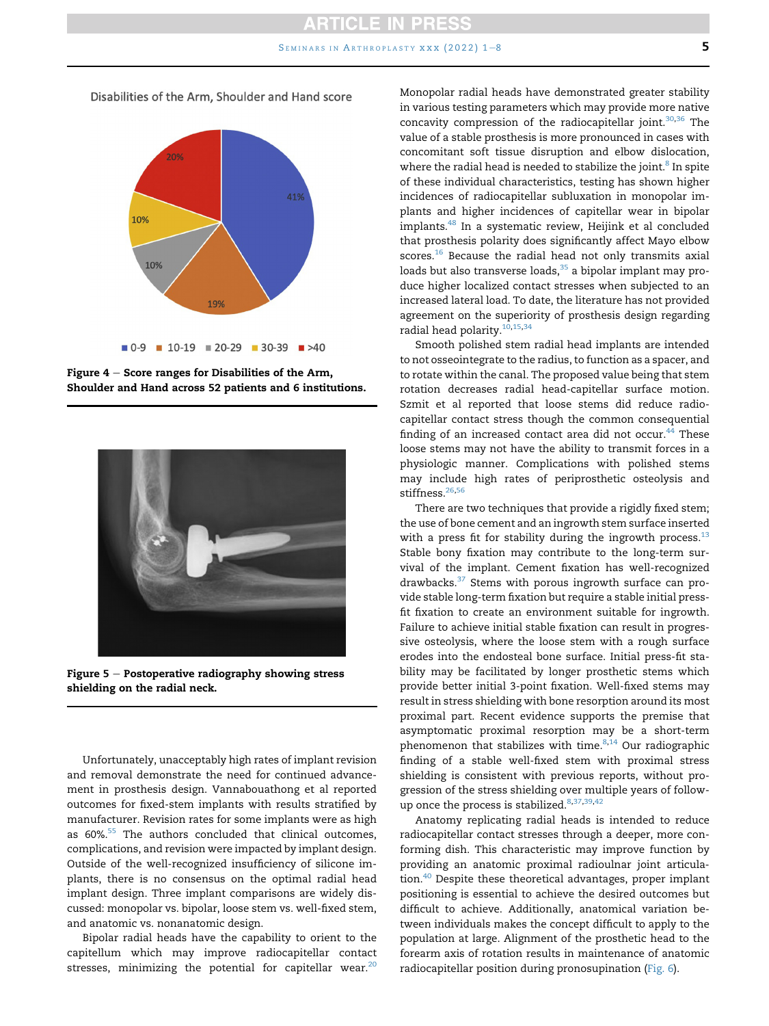<span id="page-4-0"></span>Disabilities of the Arm, Shoulder and Hand score



Figure  $4 -$  Score ranges for Disabilities of the Arm, Shoulder and Hand across 52 patients and 6 institutions.

<span id="page-4-1"></span>

Figure  $5$  – Postoperative radiography showing stress shielding on the radial neck.

Unfortunately, unacceptably high rates of implant revision and removal demonstrate the need for continued advancement in prosthesis design. Vannabouathong et al reported outcomes for fixed-stem implants with results stratified by manufacturer. Revision rates for some implants were as high as 60%<sup>55</sup> The authors concluded that clinical outcomes, complications, and revision were impacted by implant design. Outside of the well-recognized insufficiency of silicone implants, there is no consensus on the optimal radial head implant design. Three implant comparisons are widely discussed: monopolar vs. bipolar, loose stem vs. well-fixed stem, and anatomic vs. nonanatomic design.

Bipolar radial heads have the capability to orient to the capitellum which may improve radiocapitellar contact stresses, minimizing the potential for capitellar wear. $20$  Monopolar radial heads have demonstrated greater stability in various testing parameters which may provide more native concavity compression of the radiocapitellar joint. $30,36$  $30,36$  The value of a stable prosthesis is more pronounced in cases with concomitant soft tissue disruption and elbow dislocation, where the radial head is needed to stabilize the joint.<sup>[8](#page-6-3)</sup> In spite of these individual characteristics, testing has shown higher incidences of radiocapitellar subluxation in monopolar implants and higher incidences of capitellar wear in bipolar implants.[48](#page-7-11) In a systematic review, Heijink et al concluded that prosthesis polarity does significantly affect Mayo elbow scores. $16$  Because the radial head not only transmits axial loads but also transverse loads,<sup>[35](#page-6-25)</sup> a bipolar implant may produce higher localized contact stresses when subjected to an increased lateral load. To date, the literature has not provided agreement on the superiority of prosthesis design regarding radial head polarity.<sup>[10](#page-6-26)[,15,](#page-6-27)[34](#page-6-28)</sup>

Smooth polished stem radial head implants are intended to not osseointegrate to the radius, to function as a spacer, and to rotate within the canal. The proposed value being that stem rotation decreases radial head-capitellar surface motion. Szmit et al reported that loose stems did reduce radiocapitellar contact stress though the common consequential finding of an increased contact area did not occur. $44$  These loose stems may not have the ability to transmit forces in a physiologic manner. Complications with polished stems may include high rates of periprosthetic osteolysis and stiffness.<sup>26,[56](#page-7-16)</sup>

There are two techniques that provide a rigidly fixed stem; the use of bone cement and an ingrowth stem surface inserted with a press fit for stability during the ingrowth process. $13$ Stable bony fixation may contribute to the long-term survival of the implant. Cement fixation has well-recognized drawbacks. $37$  Stems with porous ingrowth surface can provide stable long-term fixation but require a stable initial pressfit fixation to create an environment suitable for ingrowth. Failure to achieve initial stable fixation can result in progressive osteolysis, where the loose stem with a rough surface erodes into the endosteal bone surface. Initial press-fit stability may be facilitated by longer prosthetic stems which provide better initial 3-point fixation. Well-fixed stems may result in stress shielding with bone resorption around its most proximal part. Recent evidence supports the premise that asymptomatic proximal resorption may be a short-term phenomenon that stabilizes with time. $8,14$  $8,14$  Our radiographic finding of a stable well-fixed stem with proximal stress shielding is consistent with previous reports, without progression of the stress shielding over multiple years of follow-up once the process is stabilized.<sup>[8](#page-6-3),[37](#page-6-13)[,39](#page-6-32)[,42](#page-7-9)</sup>

Anatomy replicating radial heads is intended to reduce radiocapitellar contact stresses through a deeper, more conforming dish. This characteristic may improve function by providing an anatomic proximal radioulnar joint articula-tion.<sup>[40](#page-7-5)</sup> Despite these theoretical advantages, proper implant positioning is essential to achieve the desired outcomes but difficult to achieve. Additionally, anatomical variation between individuals makes the concept difficult to apply to the population at large. Alignment of the prosthetic head to the forearm axis of rotation results in maintenance of anatomic radiocapitellar position during pronosupination [\(Fig. 6](#page-5-6)).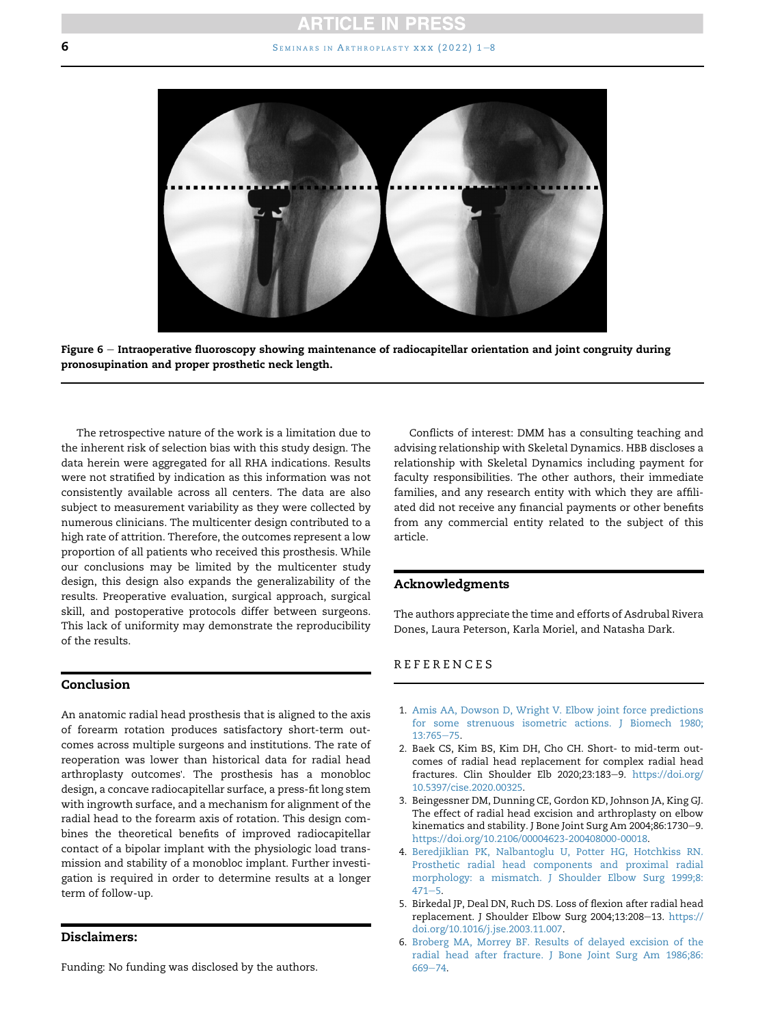## **ARTICLE IN PRESS**

#### 6 SEMINARS IN ARTHROPLASTY XXX (2022)  $1-8$  $1-8$

<span id="page-5-6"></span>

Figure 6 - Intraoperative fluoroscopy showing maintenance of radiocapitellar orientation and joint congruity during pronosupination and proper prosthetic neck length.

The retrospective nature of the work is a limitation due to the inherent risk of selection bias with this study design. The data herein were aggregated for all RHA indications. Results were not stratified by indication as this information was not consistently available across all centers. The data are also subject to measurement variability as they were collected by numerous clinicians. The multicenter design contributed to a high rate of attrition. Therefore, the outcomes represent a low proportion of all patients who received this prosthesis. While our conclusions may be limited by the multicenter study design, this design also expands the generalizability of the results. Preoperative evaluation, surgical approach, surgical skill, and postoperative protocols differ between surgeons. This lack of uniformity may demonstrate the reproducibility of the results.

## Conclusion

An anatomic radial head prosthesis that is aligned to the axis of forearm rotation produces satisfactory short-term outcomes across multiple surgeons and institutions. The rate of reoperation was lower than historical data for radial head arthroplasty outcomes'. The prosthesis has a monobloc design, a concave radiocapitellar surface, a press-fit long stem with ingrowth surface, and a mechanism for alignment of the radial head to the forearm axis of rotation. This design combines the theoretical benefits of improved radiocapitellar contact of a bipolar implant with the physiologic load transmission and stability of a monobloc implant. Further investigation is required in order to determine results at a longer term of follow-up.

## Disclaimers:

Funding: No funding was disclosed by the authors.

Conflicts of interest: DMM has a consulting teaching and advising relationship with Skeletal Dynamics. HBB discloses a relationship with Skeletal Dynamics including payment for faculty responsibilities. The other authors, their immediate families, and any research entity with which they are affiliated did not receive any financial payments or other benefits from any commercial entity related to the subject of this article.

#### Acknowledgments

The authors appreciate the time and efforts of Asdrubal Rivera Dones, Laura Peterson, Karla Moriel, and Natasha Dark.

#### REFERENCES

- <span id="page-5-1"></span>1. [Amis AA, Dowson D, Wright V. Elbow joint force predictions](http://refhub.elsevier.com/S1045-4527(22)00020-7/sref1) [for some strenuous isometric actions. J Biomech 1980;](http://refhub.elsevier.com/S1045-4527(22)00020-7/sref1)  $13:765 - 75.$  $13:765 - 75.$  $13:765 - 75.$  $13:765 - 75.$
- <span id="page-5-5"></span>2. Baek CS, Kim BS, Kim DH, Cho CH. Short- to mid-term outcomes of radial head replacement for complex radial head fractures. Clin Shoulder Elb 2020;23:183-9. [https://doi.org/](https://doi.org/10.5397/cise.2020.00325) [10.5397/cise.2020.00325.](https://doi.org/10.5397/cise.2020.00325)
- <span id="page-5-0"></span>3. Beingessner DM, Dunning CE, Gordon KD, Johnson JA, King GJ. The effect of radial head excision and arthroplasty on elbow kinematics and stability. J Bone Joint Surg Am 2004;86:1730-9. <https://doi.org/10.2106/00004623-200408000-00018>.
- <span id="page-5-2"></span>4. [Beredjiklian PK, Nalbantoglu U, Potter HG, Hotchkiss RN.](http://refhub.elsevier.com/S1045-4527(22)00020-7/sref4) [Prosthetic radial head components and proximal radial](http://refhub.elsevier.com/S1045-4527(22)00020-7/sref4) [morphology: a mismatch. J Shoulder Elbow Surg 1999;8:](http://refhub.elsevier.com/S1045-4527(22)00020-7/sref4)  $471 - 5.$  $471 - 5.$  $471 - 5.$
- <span id="page-5-3"></span>5. Birkedal JP, Deal DN, Ruch DS. Loss of flexion after radial head replacement. J Shoulder Elbow Surg 2004;13:208-13. [https://](https://doi.org/10.1016/j.jse.2003.11.007) [doi.org/10.1016/j.jse.2003.11.007](https://doi.org/10.1016/j.jse.2003.11.007).
- <span id="page-5-4"></span>6. [Broberg MA, Morrey BF. Results of delayed excision of the](http://refhub.elsevier.com/S1045-4527(22)00020-7/sref6) [radial head after fracture. J Bone Joint Surg Am 1986;86:](http://refhub.elsevier.com/S1045-4527(22)00020-7/sref6) [669](http://refhub.elsevier.com/S1045-4527(22)00020-7/sref6)-[74.](http://refhub.elsevier.com/S1045-4527(22)00020-7/sref6)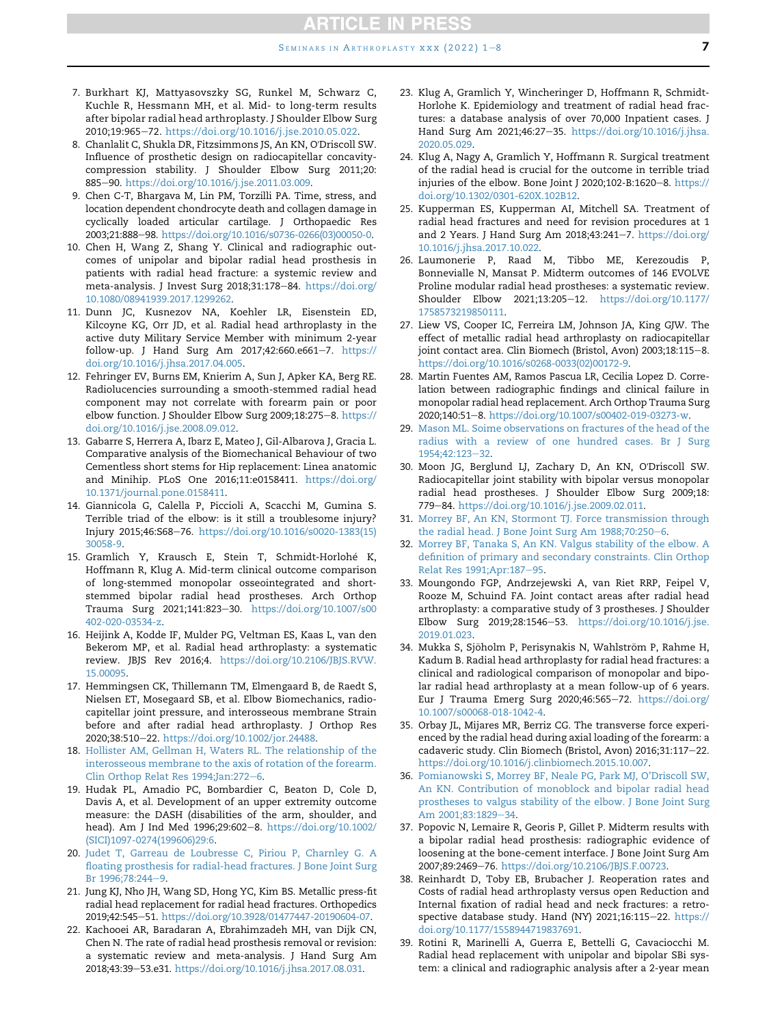- <span id="page-6-10"></span>7. Burkhart KJ, Mattyasovszky SG, Runkel M, Schwarz C, Kuchle R, Hessmann MH, et al. Mid- to long-term results after bipolar radial head arthroplasty. J Shoulder Elbow Surg 2010;19:965-72. <https://doi.org/10.1016/j.jse.2010.05.022>.
- <span id="page-6-3"></span>8. Chanlalit C, Shukla DR, Fitzsimmons JS, An KN, O'Driscoll SW. Influence of prosthetic design on radiocapitellar concavitycompression stability. J Shoulder Elbow Surg 2011;20: 885-90. [https://doi.org/10.1016/j.jse.2011.03.009.](https://doi.org/10.1016/j.jse.2011.03.009)
- <span id="page-6-8"></span>9. Chen C-T, Bhargava M, Lin PM, Torzilli PA. Time, stress, and location dependent chondrocyte death and collagen damage in cyclically loaded articular cartilage. J Orthopaedic Res 2003;21:888-98. [https://doi.org/10.1016/s0736-0266\(03\)00050-0.](https://doi.org/10.1016/s0736-0266(03)00050-0)
- <span id="page-6-26"></span>10. Chen H, Wang Z, Shang Y. Clinical and radiographic outcomes of unipolar and bipolar radial head prosthesis in patients with radial head fracture: a systemic review and meta-analysis. J Invest Surg 2018;31:178-84. [https://doi.org/](https://doi.org/10.1080/08941939.2017.1299262) [10.1080/08941939.2017.1299262.](https://doi.org/10.1080/08941939.2017.1299262)
- <span id="page-6-17"></span>11. Dunn JC, Kusnezov NA, Koehler LR, Eisenstein ED, Kilcoyne KG, Orr JD, et al. Radial head arthroplasty in the active duty Military Service Member with minimum 2-year follow-up. J Hand Surg Am 2017;42:660.e661-7. [https://](https://doi.org/10.1016/j.jhsa.2017.04.005) [doi.org/10.1016/j.jhsa.2017.04.005](https://doi.org/10.1016/j.jhsa.2017.04.005).
- <span id="page-6-14"></span>12. Fehringer EV, Burns EM, Knierim A, Sun J, Apker KA, Berg RE. Radiolucencies surrounding a smooth-stemmed radial head component may not correlate with forearm pain or poor elbow function. J Shoulder Elbow Surg 2009;18:275-8. [https://](https://doi.org/10.1016/j.jse.2008.09.012) [doi.org/10.1016/j.jse.2008.09.012](https://doi.org/10.1016/j.jse.2008.09.012).
- <span id="page-6-30"></span>13. Gabarre S, Herrera A, Ibarz E, Mateo J, Gil-Albarova J, Gracia L. Comparative analysis of the Biomechanical Behaviour of two Cementless short stems for Hip replacement: Linea anatomic and Minihip. PLoS One 2016;11:e0158411. [https://doi.org/](https://doi.org/10.1371/journal.pone.0158411) [10.1371/journal.pone.0158411.](https://doi.org/10.1371/journal.pone.0158411)
- <span id="page-6-31"></span>14. Giannicola G, Calella P, Piccioli A, Scacchi M, Gumina S. Terrible triad of the elbow: is it still a troublesome injury? Injury 2015;46:S68e76. [https://doi.org/10.1016/s0020-1383\(15\)](https://doi.org/10.1016/s0020-1383(15)30058-9) [30058-9](https://doi.org/10.1016/s0020-1383(15)30058-9).
- <span id="page-6-27"></span>15. Gramlich Y, Krausch E, Stein T, Schmidt-Horlohe K, Hoffmann R, Klug A. Mid-term clinical outcome comparison of long-stemmed monopolar osseointegrated and shortstemmed bipolar radial head prostheses. Arch Orthop Trauma Surg 2021;141:823-30. [https://doi.org/10.1007/s00](https://doi.org/10.1007/s00402-020-03534-z) [402-020-03534-z.](https://doi.org/10.1007/s00402-020-03534-z)
- <span id="page-6-19"></span>16. Heijink A, Kodde IF, Mulder PG, Veltman ES, Kaas L, van den Bekerom MP, et al. Radial head arthroplasty: a systematic review. JBJS Rev 2016;4. [https://doi.org/10.2106/JBJS.RVW.](https://doi.org/10.2106/JBJS.RVW.15.00095) [15.00095](https://doi.org/10.2106/JBJS.RVW.15.00095).
- <span id="page-6-7"></span>17. Hemmingsen CK, Thillemann TM, Elmengaard B, de Raedt S, Nielsen ET, Mosegaard SB, et al. Elbow Biomechanics, radiocapitellar joint pressure, and interosseous membrane Strain before and after radial head arthroplasty. J Orthop Res 2020;38:510-22. <https://doi.org/10.1002/jor.24488>.
- <span id="page-6-15"></span>18. [Hollister AM, Gellman H, Waters RL. The relationship of the](http://refhub.elsevier.com/S1045-4527(22)00020-7/sref18) [interosseous membrane to the axis of rotation of the forearm.](http://refhub.elsevier.com/S1045-4527(22)00020-7/sref18) [Clin Orthop Relat Res 1994;Jan:272](http://refhub.elsevier.com/S1045-4527(22)00020-7/sref18)-[6](http://refhub.elsevier.com/S1045-4527(22)00020-7/sref18).
- <span id="page-6-12"></span>19. Hudak PL, Amadio PC, Bombardier C, Beaton D, Cole D, Davis A, et al. Development of an upper extremity outcome measure: the DASH (disabilities of the arm, shoulder, and head). Am J Ind Med 1996;29:602-8. [https://doi.org/10.1002/](https://doi.org/10.1002/(SICI)1097-0274(199606)29:6) [\(SICI\)1097-0274\(199606\)29:6](https://doi.org/10.1002/(SICI)1097-0274(199606)29:6).
- <span id="page-6-23"></span>20. [Judet T, Garreau de Loubresse C, Piriou P, Charnley G. A](http://refhub.elsevier.com/S1045-4527(22)00020-7/sref20) [floating prosthesis for radial-head fractures. J Bone Joint Surg](http://refhub.elsevier.com/S1045-4527(22)00020-7/sref20) [Br 1996;78:244](http://refhub.elsevier.com/S1045-4527(22)00020-7/sref20)-[9.](http://refhub.elsevier.com/S1045-4527(22)00020-7/sref20)
- <span id="page-6-18"></span>21. Jung KJ, Nho JH, Wang SD, Hong YC, Kim BS. Metallic press-fit radial head replacement for radial head fractures. Orthopedics 2019;42:545-51. [https://doi.org/10.3928/01477447-20190604-07.](https://doi.org/10.3928/01477447-20190604-07)
- <span id="page-6-20"></span>22. Kachooei AR, Baradaran A, Ebrahimzadeh MH, van Dijk CN, Chen N. The rate of radial head prosthesis removal or revision: a systematic review and meta-analysis. J Hand Surg Am 2018;43:39-53.e31. [https://doi.org/10.1016/j.jhsa.2017.08.031.](https://doi.org/10.1016/j.jhsa.2017.08.031)
- <span id="page-6-0"></span>23. Klug A, Gramlich Y, Wincheringer D, Hoffmann R, Schmidt-Horlohe K. Epidemiology and treatment of radial head fractures: a database analysis of over 70,000 Inpatient cases. J Hand Surg Am 2021;46:27-35. [https://doi.org/10.1016/j.jhsa.](https://doi.org/10.1016/j.jhsa.2020.05.029) [2020.05.029.](https://doi.org/10.1016/j.jhsa.2020.05.029)
- <span id="page-6-11"></span>24. Klug A, Nagy A, Gramlich Y, Hoffmann R. Surgical treatment of the radial head is crucial for the outcome in terrible triad injuries of the elbow. Bone Joint J 2020;102-B:1620-8. [https://](https://doi.org/10.1302/0301-620X.102B12) [doi.org/10.1302/0301-620X.102B12.](https://doi.org/10.1302/0301-620X.102B12)
- <span id="page-6-22"></span>25. Kupperman ES, Kupperman AI, Mitchell SA. Treatment of radial head fractures and need for revision procedures at 1 and 2 Years. J Hand Surg Am 2018;43:241-7. [https://doi.org/](https://doi.org/10.1016/j.jhsa.2017.10.022) [10.1016/j.jhsa.2017.10.022](https://doi.org/10.1016/j.jhsa.2017.10.022).
- <span id="page-6-29"></span>26. Laumonerie P, Raad M, Tibbo ME, Kerezoudis P, Bonnevialle N, Mansat P. Midterm outcomes of 146 EVOLVE Proline modular radial head prostheses: a systematic review. Shoulder Elbow 2021;13:205-12. [https://doi.org/10.1177/](https://doi.org/10.1177/1758573219850111) [1758573219850111](https://doi.org/10.1177/1758573219850111).
- <span id="page-6-6"></span>27. Liew VS, Cooper IC, Ferreira LM, Johnson JA, King GJW. The effect of metallic radial head arthroplasty on radiocapitellar joint contact area. Clin Biomech (Bristol, Avon) 2003;18:115-8. [https://doi.org/10.1016/s0268-0033\(02\)00172-9](https://doi.org/10.1016/s0268-0033(02)00172-9).
- <span id="page-6-9"></span>28. Martin Fuentes AM, Ramos Pascua LR, Cecilia Lopez D. Correlation between radiographic findings and clinical failure in monopolar radial head replacement. Arch Orthop Trauma Surg 2020;140:51e8. [https://doi.org/10.1007/s00402-019-03273-w.](https://doi.org/10.1007/s00402-019-03273-w)
- <span id="page-6-16"></span>29. [Mason ML. Soime observations on fractures of the head of the](http://refhub.elsevier.com/S1045-4527(22)00020-7/sref29) [radius with a review of one hundred cases. Br J Surg](http://refhub.elsevier.com/S1045-4527(22)00020-7/sref29) [1954;42:123](http://refhub.elsevier.com/S1045-4527(22)00020-7/sref29)-[32](http://refhub.elsevier.com/S1045-4527(22)00020-7/sref29).
- <span id="page-6-24"></span>30. Moon JG, Berglund LJ, Zachary D, An KN, O'Driscoll SW. Radiocapitellar joint stability with bipolar versus monopolar radial head prostheses. J Shoulder Elbow Surg 2009;18: 779-84. [https://doi.org/10.1016/j.jse.2009.02.011.](https://doi.org/10.1016/j.jse.2009.02.011)
- <span id="page-6-2"></span>31. [Morrey BF, An KN, Stormont TJ. Force transmission through](http://refhub.elsevier.com/S1045-4527(22)00020-7/sref31) [the radial head. J Bone Joint Surg Am 1988;70:250](http://refhub.elsevier.com/S1045-4527(22)00020-7/sref31)-[6.](http://refhub.elsevier.com/S1045-4527(22)00020-7/sref31)
- <span id="page-6-4"></span>32. [Morrey BF, Tanaka S, An KN. Valgus stability of the elbow. A](http://refhub.elsevier.com/S1045-4527(22)00020-7/sref32) [definition of primary and secondary constraints. Clin Orthop](http://refhub.elsevier.com/S1045-4527(22)00020-7/sref32) Relat Res 1991; Apr: 187-[95.](http://refhub.elsevier.com/S1045-4527(22)00020-7/sref32)
- <span id="page-6-5"></span>33. Moungondo FGP, Andrzejewski A, van Riet RRP, Feipel V, Rooze M, Schuind FA. Joint contact areas after radial head arthroplasty: a comparative study of 3 prostheses. J Shoulder Elbow Surg 2019;28:1546-53. [https://doi.org/10.1016/j.jse.](https://doi.org/10.1016/j.jse.2019.01.023) [2019.01.023.](https://doi.org/10.1016/j.jse.2019.01.023)
- <span id="page-6-28"></span>34. Mukka S, Sjöholm P, Perisynakis N, Wahlström P, Rahme H, Kadum B. Radial head arthroplasty for radial head fractures: a clinical and radiological comparison of monopolar and bipolar radial head arthroplasty at a mean follow-up of 6 years. Eur J Trauma Emerg Surg 2020;46:565-72. [https://doi.org/](https://doi.org/10.1007/s00068-018-1042-4) [10.1007/s00068-018-1042-4](https://doi.org/10.1007/s00068-018-1042-4).
- <span id="page-6-25"></span>35. Orbay JL, Mijares MR, Berriz CG. The transverse force experienced by the radial head during axial loading of the forearm: a cadaveric study. Clin Biomech (Bristol, Avon) 2016;31:117-22. [https://doi.org/10.1016/j.clinbiomech.2015.10.007.](https://doi.org/10.1016/j.clinbiomech.2015.10.007)
- <span id="page-6-1"></span>36. [Pomianowski S, Morrey BF, Neale PG, Park MJ, O'Driscoll SW,](http://refhub.elsevier.com/S1045-4527(22)00020-7/sref36) [An KN. Contribution of monoblock and bipolar radial head](http://refhub.elsevier.com/S1045-4527(22)00020-7/sref36) [prostheses to valgus stability of the elbow. J Bone Joint Surg](http://refhub.elsevier.com/S1045-4527(22)00020-7/sref36) [Am 2001;83:1829](http://refhub.elsevier.com/S1045-4527(22)00020-7/sref36)-[34](http://refhub.elsevier.com/S1045-4527(22)00020-7/sref36).
- <span id="page-6-13"></span>37. Popovic N, Lemaire R, Georis P, Gillet P. Midterm results with a bipolar radial head prosthesis: radiographic evidence of loosening at the bone-cement interface. J Bone Joint Surg Am 2007;89:2469-76. [https://doi.org/10.2106/JBJS.F.00723.](https://doi.org/10.2106/JBJS.F.00723)
- <span id="page-6-21"></span>38. Reinhardt D, Toby EB, Brubacher J. Reoperation rates and Costs of radial head arthroplasty versus open Reduction and Internal fixation of radial head and neck fractures: a retrospective database study. Hand (NY) 2021;16:115-22. [https://](https://doi.org/10.1177/1558944719837691) [doi.org/10.1177/1558944719837691](https://doi.org/10.1177/1558944719837691).
- <span id="page-6-32"></span>39. Rotini R, Marinelli A, Guerra E, Bettelli G, Cavaciocchi M. Radial head replacement with unipolar and bipolar SBi system: a clinical and radiographic analysis after a 2-year mean